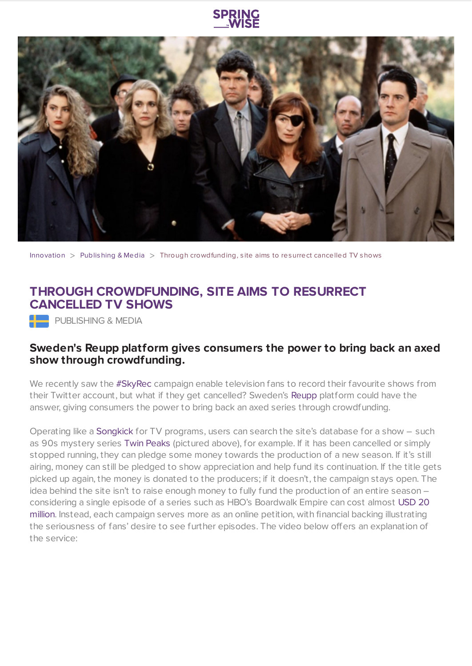

[Innovation](https://www.springwise.com/search?type=innovation)  $>$  [Publishing](https://www.springwise.com/search?type=innovation§or=publishing-media) & Media  $>$  Through crowdfunding, site aims to resurrect cancelled TV shows

## **THROUGH CROWDFUNDING, SITE AIMS TO RESURRECT CANCELLED TV SHOWS**

PUBLISHING & MEDIA

## **Sweden's Reupp platform gives consumers the power to bring back an axed show through crowdfunding.**

We recently saw the [#SkyRec](https://www.springwise.com/tv-shows-recorded-retweet/) campaign enable television fans to record their favourite shows from their Twitter account, but what if they get cancelled? Sweden's [Reupp](http://reupp.com/) platform could have the answer, giving consumers the power to bring back an axed series through crowdfunding.

Operating like a [Songkick](https://detour.songkick.com/?utm_source=skweb&utm_medium=banner&utm_campaign=footer_cta_pledge) for TV programs, users can search the site's database for a show – such as 90s mystery series Twin [Peaks](http://en.wikipedia.org/wiki/Twin_Peaks) (pictured above), for example. If it has been cancelled or simply stopped running, they can pledge some money towards the production of a new season. If it's still airing, money can still be pledged to show appreciation and help fund its continuation. If the title gets picked up again, the money is donated to the producers; if it doesn't, the campaign stays open. The idea behind the site isn't to raise enough money to fully fund the production of an entire season – [considering](http://online.wsj.com/article/SB10001424052748704684604575381030727161888.html) a single episode of a series such as HBO's Boardwalk Empire can cost almost USD 20 million. Instead, each campaign serves more as an online petition, with financial backing illustrating the seriousness of fans' desire to see further episodes. The video below offers an explanation of the service: